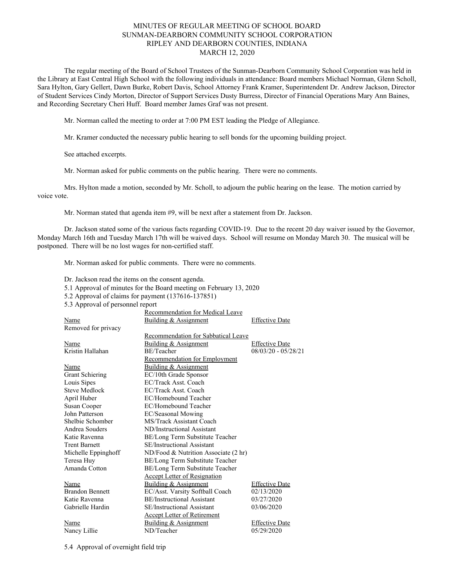## MINUTES OF REGULAR MEETING OF SCHOOL BOARD SUNMAN-DEARBORN COMMUNITY SCHOOL CORPORATION RIPLEY AND DEARBORN COUNTIES, INDIANA MARCH 12, 2020

The regular meeting of the Board of School Trustees of the Sunman-Dearborn Community School Corporation was held in the Library at East Central High School with the following individuals in attendance: Board members Michael Norman, Glenn Scholl, Sara Hylton, Gary Gellert, Dawn Burke, Robert Davis, School Attorney Frank Kramer, Superintendent Dr. Andrew Jackson, Director of Student Services Cindy Morton, Director of Support Services Dusty Burress, Director of Financial Operations Mary Ann Baines, and Recording Secretary Cheri Huff. Board member James Graf was not present.

Mr. Norman called the meeting to order at 7:00 PM EST leading the Pledge of Allegiance.

Mr. Kramer conducted the necessary public hearing to sell bonds for the upcoming building project.

See attached excerpts.

Mr. Norman asked for public comments on the public hearing. There were no comments.

Mrs. Hylton made a motion, seconded by Mr. Scholl, to adjourn the public hearing on the lease. The motion carried by voice vote.

Mr. Norman stated that agenda item #9, will be next after a statement from Dr. Jackson.

Dr. Jackson stated some of the various facts regarding COVID-19. Due to the recent 20 day waiver issued by the Governor, Monday March 16th and Tuesday March 17th will be waived days. School will resume on Monday March 30. The musical will be postponed. There will be no lost wages for non-certified staff.

Mr. Norman asked for public comments. There were no comments.

Dr. Jackson read the items on the consent agenda.

- 5.1 Approval of minutes for the Board meeting on February 13, 2020
- 5.2 Approval of claims for payment (137616-137851)
- 5.3 Approval of personnel report

|                        | Recommendation for Medical Leave     |                       |
|------------------------|--------------------------------------|-----------------------|
| Name                   | <b>Building &amp; Assignment</b>     | <b>Effective Date</b> |
| Removed for privacy    |                                      |                       |
|                        | Recommendation for Sabbatical Leave  |                       |
| Name                   | <b>Building &amp; Assignment</b>     | <b>Effective Date</b> |
| Kristin Hallahan       | BE/Teacher                           | $08/03/20 - 05/28/21$ |
|                        | <b>Recommendation for Employment</b> |                       |
| Name                   | <b>Building &amp; Assignment</b>     |                       |
| <b>Grant Schiering</b> | EC/10th Grade Sponsor                |                       |
| Louis Sipes            | EC/Track Asst. Coach                 |                       |
| <b>Steve Medlock</b>   | EC/Track Asst. Coach                 |                       |
| April Huber            | EC/Homebound Teacher                 |                       |
| <b>Susan Cooper</b>    | EC/Homebound Teacher                 |                       |
| John Patterson         | EC/Seasonal Mowing                   |                       |
| Shelbie Schomber       | <b>MS/Track Assistant Coach</b>      |                       |
| Andrea Souders         | ND/Instructional Assistant           |                       |
| Katie Ravenna          | BE/Long Term Substitute Teacher      |                       |
| <b>Trent Barnett</b>   | SE/Instructional Assistant           |                       |
| Michelle Eppinghoff    | ND/Food & Nutrition Associate (2 hr) |                       |
| Teresa Huy             | BE/Long Term Substitute Teacher      |                       |
| Amanda Cotton          | BE/Long Term Substitute Teacher      |                       |
|                        | <b>Accept Letter of Resignation</b>  |                       |
| Name                   | <b>Building &amp; Assignment</b>     | <b>Effective Date</b> |
| <b>Brandon Bennett</b> | EC/Asst. Varsity Softball Coach      | 02/13/2020            |
| Katie Ravenna          | <b>BE/Instructional Assistant</b>    | 03/27/2020            |
| Gabrielle Hardin       | SE/Instructional Assistant           | 03/06/2020            |
|                        | <b>Accept Letter of Retirement</b>   |                       |
| Name                   | <b>Building &amp; Assignment</b>     | <b>Effective Date</b> |
| Nancy Lillie           | ND/Teacher                           | 05/29/2020            |

5.4 Approval of overnight field trip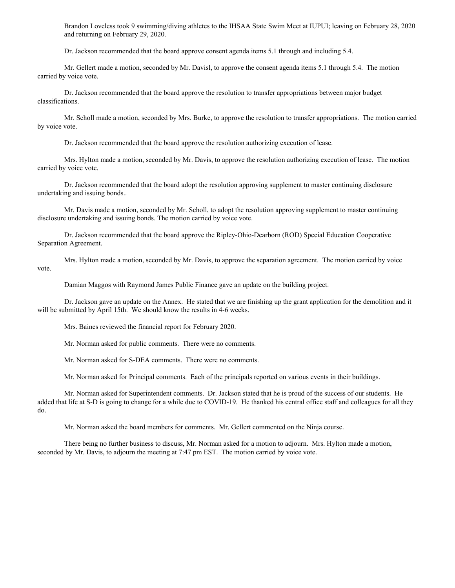Brandon Loveless took 9 swimming/diving athletes to the IHSAA State Swim Meet at IUPUI; leaving on February 28, 2020 and returning on February 29, 2020.

Dr. Jackson recommended that the board approve consent agenda items 5.1 through and including 5.4.

Mr. Gellert made a motion, seconded by Mr. Davisl, to approve the consent agenda items 5.1 through 5.4. The motion carried by voice vote.

Dr. Jackson recommended that the board approve the resolution to transfer appropriations between major budget classifications.

Mr. Scholl made a motion, seconded by Mrs. Burke, to approve the resolution to transfer appropriations. The motion carried by voice vote.

Dr. Jackson recommended that the board approve the resolution authorizing execution of lease.

Mrs. Hylton made a motion, seconded by Mr. Davis, to approve the resolution authorizing execution of lease. The motion carried by voice vote.

Dr. Jackson recommended that the board adopt the resolution approving supplement to master continuing disclosure undertaking and issuing bonds..

Mr. Davis made a motion, seconded by Mr. Scholl, to adopt the resolution approving supplement to master continuing disclosure undertaking and issuing bonds. The motion carried by voice vote.

Dr. Jackson recommended that the board approve the Ripley-Ohio-Dearborn (ROD) Special Education Cooperative Separation Agreement.

Mrs. Hylton made a motion, seconded by Mr. Davis, to approve the separation agreement. The motion carried by voice vote.

Damian Maggos with Raymond James Public Finance gave an update on the building project.

Dr. Jackson gave an update on the Annex. He stated that we are finishing up the grant application for the demolition and it will be submitted by April 15th. We should know the results in 4-6 weeks.

Mrs. Baines reviewed the financial report for February 2020.

Mr. Norman asked for public comments. There were no comments.

Mr. Norman asked for S-DEA comments. There were no comments.

Mr. Norman asked for Principal comments. Each of the principals reported on various events in their buildings.

Mr. Norman asked for Superintendent comments. Dr. Jackson stated that he is proud of the success of our students. He added that life at S-D is going to change for a while due to COVID-19. He thanked his central office staff and colleagues for all they do.

Mr. Norman asked the board members for comments. Mr. Gellert commented on the Ninja course.

There being no further business to discuss, Mr. Norman asked for a motion to adjourn. Mrs. Hylton made a motion, seconded by Mr. Davis, to adjourn the meeting at 7:47 pm EST. The motion carried by voice vote.